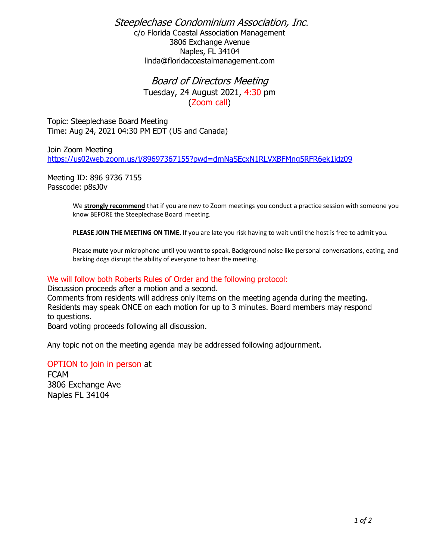Steeplechase Condominium Association, Inc. c/o Florida Coastal Association Management 3806 Exchange Avenue Naples, FL 34104 linda@floridacoastalmanagement.com

> Board of Directors Meeting Tuesday, 24 August 2021, 4:30 pm (Zoom call)

Topic: Steeplechase Board Meeting Time: Aug 24, 2021 04:30 PM EDT (US and Canada)

Join Zoom Meeting <https://us02web.zoom.us/j/89697367155?pwd=dmNaSEcxN1RLVXBFMng5RFR6ek1idz09>

Meeting ID: 896 9736 7155 Passcode: p8sJ0v

> We **strongly recommend** that if you are new to Zoom meetings you conduct a practice session with someone you know BEFORE the Steeplechase Board meeting.

**PLEASE JOIN THE MEETING ON TIME.** If you are late you risk having to wait until the host is free to admit you.

Please **mute** your microphone until you want to speak. Background noise like personal conversations, eating, and barking dogs disrupt the ability of everyone to hear the meeting.

## We will follow both Roberts Rules of Order and the following protocol:

Discussion proceeds after a motion and a second.

Comments from residents will address only items on the meeting agenda during the meeting. Residents may speak ONCE on each motion for up to 3 minutes. Board members may respond to questions.

Board voting proceeds following all discussion.

Any topic not on the meeting agenda may be addressed following adjournment.

OPTION to join in person at FCAM 3806 Exchange Ave Naples FL 34104